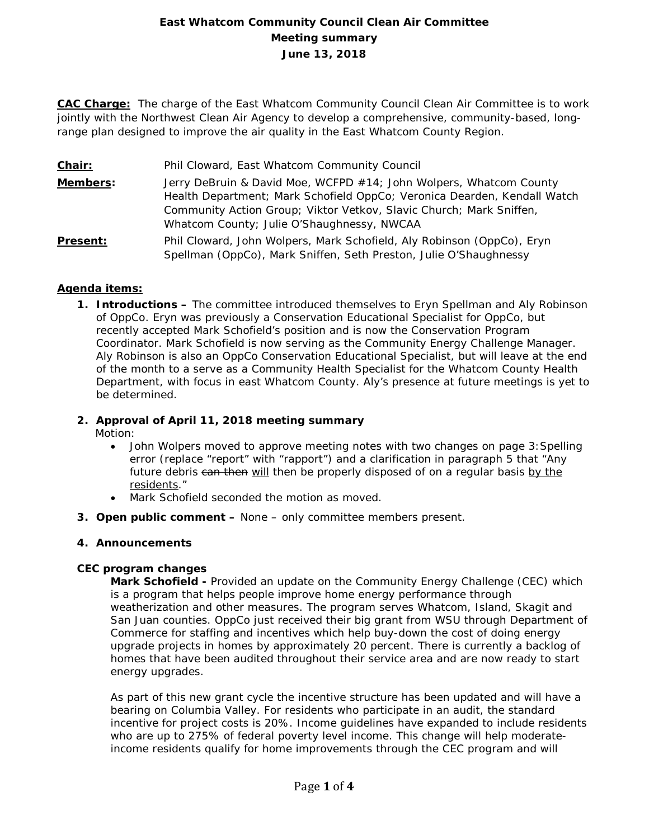# **East Whatcom Community Council Clean Air Committee Meeting summary June 13, 2018**

**CAC Charge:** The charge of the East Whatcom Community Council Clean Air Committee is to work jointly with the Northwest Clean Air Agency to develop a comprehensive, community-based, longrange plan designed to improve the air quality in the East Whatcom County Region.

- **Chair:** Phil Cloward, East Whatcom Community Council
- **Members:** Jerry DeBruin & David Moe, WCFPD #14; John Wolpers, Whatcom County Health Department; Mark Schofield OppCo; Veronica Dearden, Kendall Watch Community Action Group; Viktor Vetkov, Slavic Church; Mark Sniffen, Whatcom County; Julie O'Shaughnessy, NWCAA
- **Present:** Phil Cloward, John Wolpers, Mark Schofield, Aly Robinson (OppCo), Eryn Spellman (OppCo), Mark Sniffen, Seth Preston, Julie O'Shaughnessy

## **Agenda items:**

**1. Introductions –** The committee introduced themselves to Eryn Spellman and Aly Robinson of OppCo. Eryn was previously a Conservation Educational Specialist for OppCo, but recently accepted Mark Schofield's position and is now the Conservation Program Coordinator. Mark Schofield is now serving as the Community Energy Challenge Manager. Aly Robinson is also an OppCo Conservation Educational Specialist, but will leave at the end of the month to a serve as a Community Health Specialist for the Whatcom County Health Department, with focus in east Whatcom County. Aly's presence at future meetings is yet to be determined.

## **2. Approval of April 11, 2018 meeting summary**

Motion:

- John Wolpers moved to approve meeting notes with two changes on page 3:Spelling error (replace "report" with "rapport") and a clarification in paragraph 5 that "Any future debris can then will then be properly disposed of on a regular basis by the residents."
- Mark Schofield seconded the motion as moved.
- **3. Open public comment –** None only committee members present.

#### **4. Announcements**

## **CEC program changes**

**Mark Schofield -** Provided an update on the Community Energy Challenge (CEC) which is a program that helps people improve home energy performance through weatherization and other measures. The program serves Whatcom, Island, Skagit and San Juan counties. OppCo just received their big grant from WSU through Department of Commerce for staffing and incentives which help buy-down the cost of doing energy upgrade projects in homes by approximately 20 percent. There is currently a backlog of homes that have been audited throughout their service area and are now ready to start energy upgrades.

As part of this new grant cycle the incentive structure has been updated and will have a bearing on Columbia Valley. For residents who participate in an audit, the standard incentive for project costs is 20%. Income guidelines have expanded to include residents who are up to 275% of federal poverty level income. This change will help moderateincome residents qualify for home improvements through the CEC program and will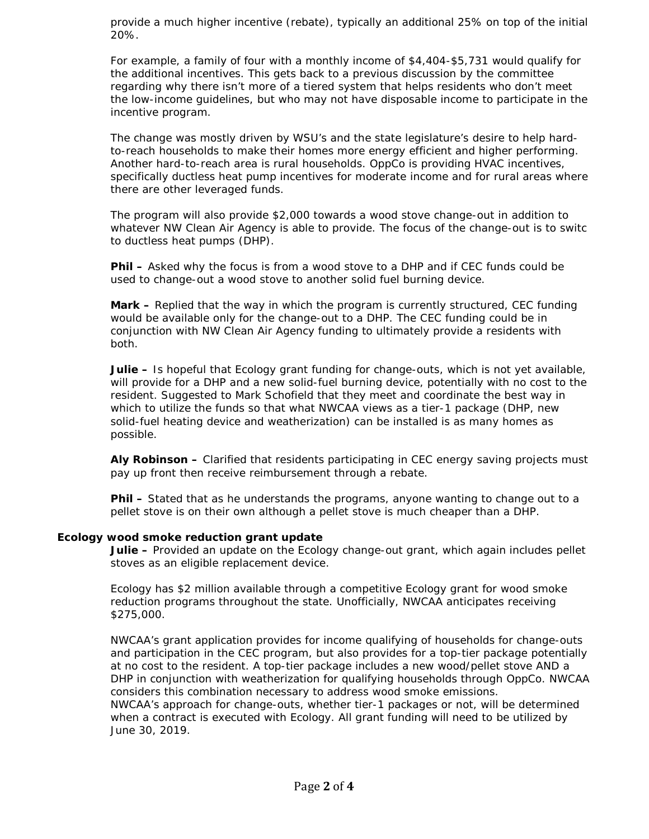provide a much higher incentive (rebate), typically an additional 25% on top of the initial 20%.

For example, a family of four with a monthly income of \$4,404-\$5,731 would qualify for the additional incentives. This gets back to a previous discussion by the committee regarding why there isn't more of a tiered system that helps residents who don't meet the low-income guidelines, but who may not have disposable income to participate in the incentive program.

The change was mostly driven by WSU's and the state legislature's desire to help hardto-reach households to make their homes more energy efficient and higher performing. Another hard-to-reach area is rural households. OppCo is providing HVAC incentives, specifically ductless heat pump incentives for moderate income and for rural areas where there are other leveraged funds.

The program will also provide \$2,000 towards a wood stove change-out in addition to whatever NW Clean Air Agency is able to provide. The focus of the change-out is to switc to ductless heat pumps (DHP).

**Phil –** Asked why the focus is from a wood stove to a DHP and if CEC funds could be used to change-out a wood stove to another solid fuel burning device.

**Mark –** Replied that the way in which the program is currently structured, CEC funding would be available only for the change-out to a DHP. The CEC funding could be in conjunction with NW Clean Air Agency funding to ultimately provide a residents with both.

**Julie –** Is hopeful that Ecology grant funding for change-outs, which is not yet available, will provide for a DHP and a new solid-fuel burning device, potentially with no cost to the resident. Suggested to Mark Schofield that they meet and coordinate the best way in which to utilize the funds so that what NWCAA views as a tier-1 package (DHP, new solid-fuel heating device and weatherization) can be installed is as many homes as possible.

**Aly Robinson –** Clarified that residents participating in CEC energy saving projects must pay up front then receive reimbursement through a rebate.

**Phil –** Stated that as he understands the programs, anyone wanting to change out to a pellet stove is on their own although a pellet stove is much cheaper than a DHP.

#### **Ecology wood smoke reduction grant update**

**Julie –** Provided an update on the Ecology change-out grant, which again includes pellet stoves as an eligible replacement device.

Ecology has \$2 million available through a competitive Ecology grant for wood smoke reduction programs throughout the state. Unofficially, NWCAA anticipates receiving \$275,000.

NWCAA's grant application provides for income qualifying of households for change-outs and participation in the CEC program, but also provides for a top-tier package potentially at no cost to the resident. A top-tier package includes a new wood/pellet stove AND a DHP in conjunction with weatherization for qualifying households through OppCo. NWCAA considers this combination necessary to address wood smoke emissions. NWCAA's approach for change-outs, whether tier-1 packages or not, will be determined when a contract is executed with Ecology. All grant funding will need to be utilized by June 30, 2019.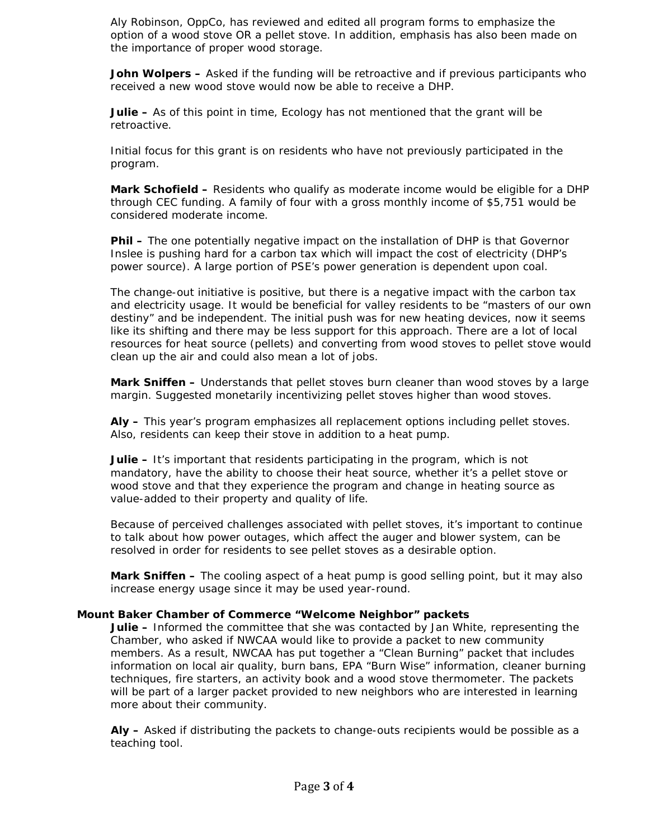Aly Robinson, OppCo, has reviewed and edited all program forms to emphasize the option of a wood stove OR a pellet stove. In addition, emphasis has also been made on the importance of proper wood storage.

**John Wolpers –** Asked if the funding will be retroactive and if previous participants who received a new wood stove would now be able to receive a DHP.

**Julie –** As of this point in time, Ecology has not mentioned that the grant will be retroactive.

Initial focus for this grant is on residents who have not previously participated in the program.

**Mark Schofield –** Residents who qualify as moderate income would be eligible for a DHP through CEC funding. A family of four with a gross monthly income of \$5,751 would be considered moderate income.

**Phil –** The one potentially negative impact on the installation of DHP is that Governor Inslee is pushing hard for a carbon tax which will impact the cost of electricity (DHP's power source). A large portion of PSE's power generation is dependent upon coal.

The change-out initiative is positive, but there is a negative impact with the carbon tax and electricity usage. It would be beneficial for valley residents to be "masters of our own destiny" and be independent. The initial push was for new heating devices, now it seems like its shifting and there may be less support for this approach. There are a lot of local resources for heat source (pellets) and converting from wood stoves to pellet stove would clean up the air and could also mean a lot of jobs.

**Mark Sniffen –** Understands that pellet stoves burn cleaner than wood stoves by a large margin. Suggested monetarily incentivizing pellet stoves higher than wood stoves.

**Aly –** This year's program emphasizes all replacement options including pellet stoves. Also, residents can keep their stove in addition to a heat pump.

**Julie –** It's important that residents participating in the program, which is not mandatory, have the ability to choose their heat source, whether it's a pellet stove or wood stove and that they experience the program and change in heating source as value-added to their property and quality of life.

Because of perceived challenges associated with pellet stoves, it's important to continue to talk about how power outages, which affect the auger and blower system, can be resolved in order for residents to see pellet stoves as a desirable option.

**Mark Sniffen –** The cooling aspect of a heat pump is good selling point, but it may also increase energy usage since it may be used year-round.

#### **Mount Baker Chamber of Commerce "Welcome Neighbor" packets**

**Julie –** Informed the committee that she was contacted by Jan White, representing the Chamber, who asked if NWCAA would like to provide a packet to new community members. As a result, NWCAA has put together a "Clean Burning" packet that includes information on local air quality, burn bans, EPA "Burn Wise" information, cleaner burning techniques, fire starters, an activity book and a wood stove thermometer. The packets will be part of a larger packet provided to new neighbors who are interested in learning more about their community.

**Aly –** Asked if distributing the packets to change-outs recipients would be possible as a teaching tool.